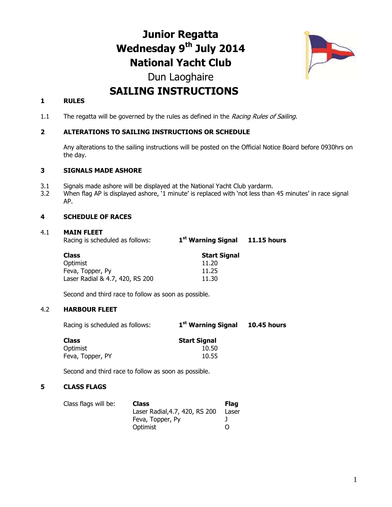# **Junior Regatta Wednesday 9 th July 2014 National Yacht Club**



# Dun Laoghaire **SAILING INSTRUCTIONS**

### **1 RULES**

1.1 The regatta will be governed by the rules as defined in the Racing Rules of Sailing.

### **2 ALTERATIONS TO SAILING INSTRUCTIONS OR SCHEDULE**

Any alterations to the sailing instructions will be posted on the Official Notice Board before 0930hrs on the day.

#### **3 SIGNALS MADE ASHORE**

- 3.1 Signals made ashore will be displayed at the National Yacht Club yardarm.
- 3.2 When flag AP is displayed ashore, '1 minute' is replaced with 'not less than 45 minutes' in race signal AP.

#### **4 SCHEDULE OF RACES**

#### 4.1 **MAIN FLEET**

Racing is scheduled as follows: **1 st Warning Signal 11.15 hours**

| Class                           | <b>Start Signal</b> |
|---------------------------------|---------------------|
| Optimist                        | 11.20               |
| Feva, Topper, Py                | 11.25               |
| Laser Radial & 4.7, 420, RS 200 | 11.30               |
|                                 |                     |

Second and third race to follow as soon as possible.

#### 4.2 **HARBOUR FLEET**

Racing is scheduled as follows: **1 st Warning Signal 10.45 hours**

| Class            | <b>Start Signal</b> |
|------------------|---------------------|
| Optimist         | 10.50               |
| Feva, Topper, PY | 10.55               |

Second and third race to follow as soon as possible.

#### **5 CLASS FLAGS**

| Class flags will be: | <b>Class</b>                   | Flag              |
|----------------------|--------------------------------|-------------------|
|                      | Laser Radial, 4.7, 420, RS 200 | Laser             |
|                      | Feva, Topper, Py               |                   |
|                      | Optimist                       | $\mathbf{\Omega}$ |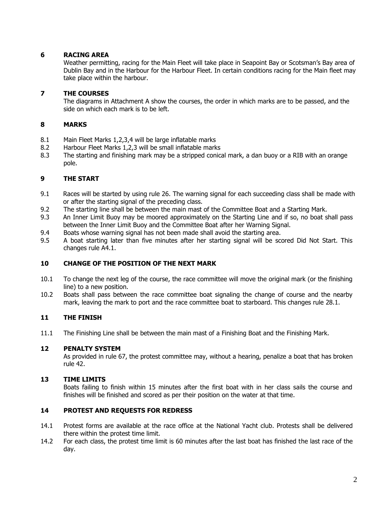# **6 RACING AREA**

Weather permitting, racing for the Main Fleet will take place in Seapoint Bay or Scotsman's Bay area of Dublin Bay and in the Harbour for the Harbour Fleet. In certain conditions racing for the Main fleet may take place within the harbour.

# **7 THE COURSES**

The diagrams in Attachment A show the courses, the order in which marks are to be passed, and the side on which each mark is to be left.

# **8 MARKS**

- 8.1 Main Fleet Marks 1,2,3,4 will be large inflatable marks
- 8.2 Harbour Fleet Marks 1,2,3 will be small inflatable marks
- 8.3 The starting and finishing mark may be a stripped conical mark, a dan buoy or a RIB with an orange pole.

# **9 THE START**

- 9.1 Races will be started by using rule 26. The warning signal for each succeeding class shall be made with or after the starting signal of the preceding class.
- 9.2 The starting line shall be between the main mast of the Committee Boat and a Starting Mark.
- 9.3 An Inner Limit Buoy may be moored approximately on the Starting Line and if so, no boat shall pass between the Inner Limit Buoy and the Committee Boat after her Warning Signal.
- 9.4 Boats whose warning signal has not been made shall avoid the starting area.
- 9.5 A boat starting later than five minutes after her starting signal will be scored Did Not Start. This changes rule A4.1.

# **10 CHANGE OF THE POSITION OF THE NEXT MARK**

- 10.1 To change the next leg of the course, the race committee will move the original mark (or the finishing line) to a new position.
- 10.2 Boats shall pass between the race committee boat signaling the change of course and the nearby mark, leaving the mark to port and the race committee boat to starboard. This changes rule 28.1.

# **11 THE FINISH**

11.1 The Finishing Line shall be between the main mast of a Finishing Boat and the Finishing Mark.

# **12 PENALTY SYSTEM**

As provided in rule 67, the protest committee may, without a hearing, penalize a boat that has broken rule 42.

# **13 TIME LIMITS**

Boats failing to finish within 15 minutes after the first boat with in her class sails the course and finishes will be finished and scored as per their position on the water at that time.

# **14 PROTEST AND REQUESTS FOR REDRESS**

- 14.1 Protest forms are available at the race office at the National Yacht club. Protests shall be delivered there within the protest time limit.
- 14.2 For each class, the protest time limit is 60 minutes after the last boat has finished the last race of the day.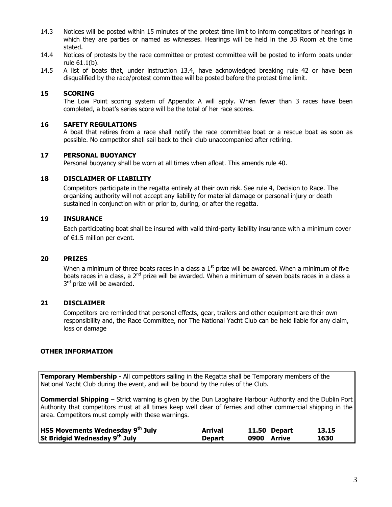- 14.3 Notices will be posted within 15 minutes of the protest time limit to inform competitors of hearings in which they are parties or named as witnesses. Hearings will be held in the JB Room at the time stated.
- 14.4 Notices of protests by the race committee or protest committee will be posted to inform boats under rule 61.1(b).
- 14.5 A list of boats that, under instruction 13.4, have acknowledged breaking rule 42 or have been disqualified by the race/protest committee will be posted before the protest time limit.

#### **15 SCORING**

The Low Point scoring system of Appendix A will apply. When fewer than 3 races have been completed, a boat's series score will be the total of her race scores.

#### **16 SAFETY REGULATIONS**

A boat that retires from a race shall notify the race committee boat or a rescue boat as soon as possible. No competitor shall sail back to their club unaccompanied after retiring.

#### **17 PERSONAL BUOYANCY**

Personal buoyancy shall be worn at all times when afloat. This amends rule 40.

#### **18 DISCLAIMER OF LIABILITY**

Competitors participate in the regatta entirely at their own risk. See rule 4, Decision to Race. The organizing authority will not accept any liability for material damage or personal injury or death sustained in conjunction with or prior to, during, or after the regatta.

#### **19 INSURANCE**

Each participating boat shall be insured with valid third-party liability insurance with a minimum cover of €1.5 million per event.

#### **20 PRIZES**

When a minimum of three boats races in a class a  $1<sup>st</sup>$  prize will be awarded. When a minimum of five boats races in a class, a 2<sup>nd</sup> prize will be awarded. When a minimum of seven boats races in a class a 3<sup>rd</sup> prize will be awarded.

#### **21 DISCLAIMER**

Competitors are reminded that personal effects, gear, trailers and other equipment are their own responsibility and, the Race Committee, nor The National Yacht Club can be held liable for any claim, loss or damage

#### **OTHER INFORMATION**

**Temporary Membership** - All competitors sailing in the Regatta shall be Temporary members of the National Yacht Club during the event, and will be bound by the rules of the Club.

**Commercial Shipping** – Strict warning is given by the Dun Laoghaire Harbour Authority and the Dublin Port Authority that competitors must at all times keep well clear of ferries and other commercial shipping in the area. Competitors must comply with these warnings.

| <b>HSS Movements Wednesday 9th July</b> | Arrival       | 11.50 Depart | 13.15 |
|-----------------------------------------|---------------|--------------|-------|
| St Bridgid Wednesday 9th July           | <b>Depart</b> | 0900 Arrive  | 1630  |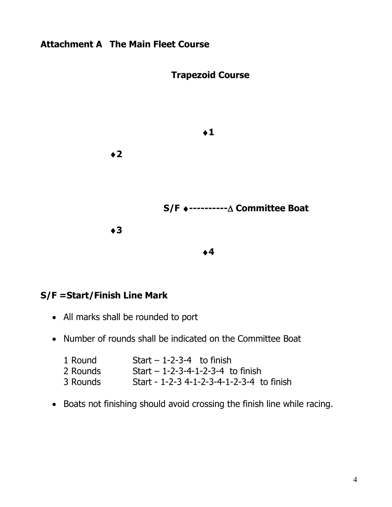# **Attachment A The Main Fleet Course**



# **S/F =Start/Finish Line Mark**

- All marks shall be rounded to port
- Number of rounds shall be indicated on the Committee Boat

| 1 Round  | Start $-1-2-3-4$ to finish                |
|----------|-------------------------------------------|
| 2 Rounds | Start $-1-2-3-4-1-2-3-4$ to finish        |
| 3 Rounds | Start - 1-2-3 4-1-2-3-4-1-2-3-4 to finish |

Boats not finishing should avoid crossing the finish line while racing.